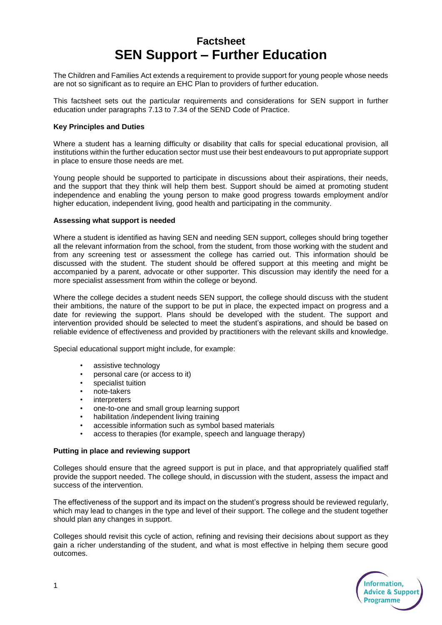# **Factsheet SEN Support – Further Education**

The Children and Families Act extends a requirement to provide support for young people whose needs are not so significant as to require an EHC Plan to providers of further education.

This factsheet sets out the particular requirements and considerations for SEN support in further education under paragraphs 7.13 to 7.34 of the SEND Code of Practice.

## **Key Principles and Duties**

Where a student has a learning difficulty or disability that calls for special educational provision, all institutions within the further education sector must use their best endeavours to put appropriate support in place to ensure those needs are met.

Young people should be supported to participate in discussions about their aspirations, their needs, and the support that they think will help them best. Support should be aimed at promoting student independence and enabling the young person to make good progress towards employment and/or higher education, independent living, good health and participating in the community.

#### **Assessing what support is needed**

Where a student is identified as having SEN and needing SEN support, colleges should bring together all the relevant information from the school, from the student, from those working with the student and from any screening test or assessment the college has carried out. This information should be discussed with the student. The student should be offered support at this meeting and might be accompanied by a parent, advocate or other supporter. This discussion may identify the need for a more specialist assessment from within the college or beyond.

Where the college decides a student needs SEN support, the college should discuss with the student their ambitions, the nature of the support to be put in place, the expected impact on progress and a date for reviewing the support. Plans should be developed with the student. The support and intervention provided should be selected to meet the student's aspirations, and should be based on reliable evidence of effectiveness and provided by practitioners with the relevant skills and knowledge.

Special educational support might include, for example:

- assistive technology
- personal care (or access to it)
- specialist tuition
- note-takers
- **interpreters**
- one-to-one and small group learning support
- habilitation /independent living training
- accessible information such as symbol based materials
- access to therapies (for example, speech and language therapy)

## **Putting in place and reviewing support**

Colleges should ensure that the agreed support is put in place, and that appropriately qualified staff provide the support needed. The college should, in discussion with the student, assess the impact and success of the intervention.

The effectiveness of the support and its impact on the student's progress should be reviewed regularly, which may lead to changes in the type and level of their support. The college and the student together should plan any changes in support.

Colleges should revisit this cycle of action, refining and revising their decisions about support as they gain a richer understanding of the student, and what is most effective in helping them secure good outcomes.